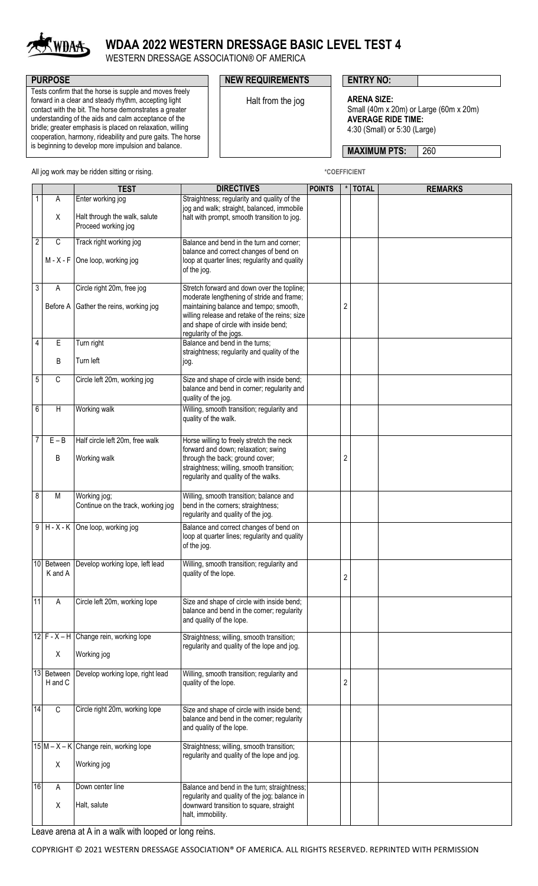

## **WDAA 2022 WESTERN DRESSAGE BASIC LEVEL TEST 4**

WESTERN DRESSAGE ASSOCIATION® OF AMERICA

Tests confirm that the horse is supple and moves freely forward in a clear and steady rhythm, accepting light contact with the bit. The horse demonstrates a greater understanding of the aids and calm acceptance of the bridle; greater emphasis is placed on relaxation, willing cooperation, harmony, rideability and pure gaits. The horse is beginning to develop more impulsion and balance.

## **PURPOSE PURPOSE PURPOSE NEW REQUIREMENTS ENTRY NO:**

Halt from the jog **ARENA SIZE:** Small (40m x 20m) or Large (60m x 20m) **AVERAGE RIDE TIME:** 4:30 (Small) or 5:30 (Large)

**MAXIMUM PTS: 260** 

All jog work may be ridden sitting or rising. **All intervally and the COEFFICIENT** \*COEFFICIENT

|                |                | <b>TEST</b>                                          | <b>DIRECTIVES</b>                                                                                                                                           | <b>POINTS</b> |                  | <b>TOTAL</b> | <b>REMARKS</b> |
|----------------|----------------|------------------------------------------------------|-------------------------------------------------------------------------------------------------------------------------------------------------------------|---------------|------------------|--------------|----------------|
| $\mathbf{1}$   | A              | Enter working jog                                    | Straightness; regularity and quality of the<br>jog and walk; straight, balanced, immobile                                                                   |               |                  |              |                |
|                | X              | Halt through the walk, salute<br>Proceed working jog | halt with prompt, smooth transition to jog.                                                                                                                 |               |                  |              |                |
| $\overline{2}$ | $\overline{C}$ | Track right working jog                              | Balance and bend in the turn and corner;<br>balance and correct changes of bend on                                                                          |               |                  |              |                |
|                | M - X - F      | One loop, working jog                                | loop at quarter lines; regularity and quality<br>of the jog.                                                                                                |               |                  |              |                |
| 3              | Α              | Circle right 20m, free jog                           | Stretch forward and down over the topline;<br>moderate lengthening of stride and frame;                                                                     |               |                  |              |                |
|                |                | Before A Gather the reins, working jog               | maintaining balance and tempo; smooth,<br>willing release and retake of the reins; size<br>and shape of circle with inside bend;<br>regularity of the jogs. |               | $\boldsymbol{2}$ |              |                |
| 4              | E              | Turn right                                           | Balance and bend in the turns;                                                                                                                              |               |                  |              |                |
|                | B              | Turn left                                            | straightness; regularity and quality of the<br>jog.                                                                                                         |               |                  |              |                |
| 5              | C              | Circle left 20m, working jog                         | Size and shape of circle with inside bend;<br>balance and bend in corner; regularity and<br>quality of the jog.                                             |               |                  |              |                |
| 6              | Η              | Working walk                                         | Willing, smooth transition; regularity and<br>quality of the walk.                                                                                          |               |                  |              |                |
| 7              | $E - B$        | Half circle left 20m, free walk                      | Horse willing to freely stretch the neck<br>forward and down; relaxation; swing                                                                             |               |                  |              |                |
|                | В              | Working walk                                         | through the back; ground cover;<br>straightness; willing, smooth transition;<br>regularity and quality of the walks.                                        |               | $\overline{c}$   |              |                |
| 8              | M              | Working jog;<br>Continue on the track, working jog   | Willing, smooth transition; balance and<br>bend in the corners; straightness;<br>regularity and quality of the jog.                                         |               |                  |              |                |
| $\overline{9}$ |                | $H - X - K$ One loop, working jog                    | Balance and correct changes of bend on<br>loop at quarter lines; regularity and quality<br>of the jog.                                                      |               |                  |              |                |
| 10             | K and A        | Between Develop working lope, left lead              | Willing, smooth transition; regularity and<br>quality of the lope.                                                                                          |               | $\mathcal{P}$    |              |                |
| 11             | Α              | Circle left 20m, working lope                        | Size and shape of circle with inside bend;<br>balance and bend in the corner; regularity<br>and quality of the lope.                                        |               |                  |              |                |
|                |                | 12 $F - X - H$ Change rein, working lope             | Straightness; willing, smooth transition;<br>regularity and quality of the lope and jog.                                                                    |               |                  |              |                |
|                | X              | Working jog                                          |                                                                                                                                                             |               |                  |              |                |
| 13             | H and C        | Between Develop working lope, right lead             | Willing, smooth transition; regularity and<br>quality of the lope.                                                                                          |               | 2                |              |                |
| 14             | C              | Circle right 20m, working lope                       | Size and shape of circle with inside bend;<br>balance and bend in the corner; regularity<br>and quality of the lope.                                        |               |                  |              |                |
|                |                | $15$ M – X – K Change rein, working lope             | Straightness; willing, smooth transition;<br>regularity and quality of the lope and jog.                                                                    |               |                  |              |                |
|                | Χ              | Working jog                                          |                                                                                                                                                             |               |                  |              |                |
| 16             | Α              | Down center line                                     | Balance and bend in the turn; straightness;<br>regularity and quality of the jog; balance in                                                                |               |                  |              |                |
|                | X              | Halt, salute                                         | downward transition to square, straight<br>halt, immobility.                                                                                                |               |                  |              |                |
|                |                |                                                      |                                                                                                                                                             |               |                  |              |                |

Leave arena at A in a walk with looped or long reins.

COPYRIGHT © 2021 WESTERN DRESSAGE ASSOCIATION® OF AMERICA. ALL RIGHTS RESERVED. REPRINTED WITH PERMISSION